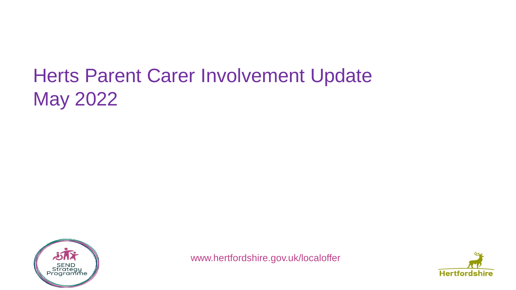# Herts Parent Carer Involvement Update May 2022



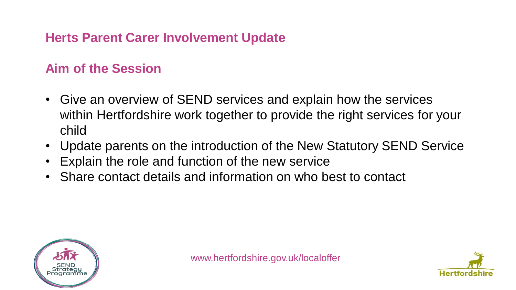### **Herts Parent Carer Involvement Update**

### **Aim of the Session**

- Give an overview of SEND services and explain how the services within Hertfordshire work together to provide the right services for your child
- Update parents on the introduction of the New Statutory SEND Service
- Explain the role and function of the new service
- Share contact details and information on who best to contact



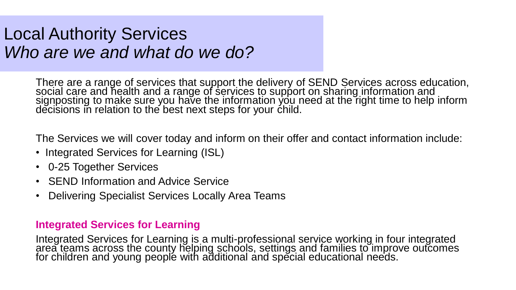## Local Authority Services *Who are we and what do we do?*

There are a range of services that support the delivery of SEND Services across education, social care and health and a range of services to support on sharing information and signposting to make sure you have the information you need at the right time to help inform decisions in relation to the best next steps for your child.

The Services we will cover today and inform on their offer and contact information include:

- Integrated Services for Learning (ISL)
- 0-25 Together Services
- SEND Information and Advice Service
- Delivering Specialist Services Locally Area Teams

#### **Integrated Services for Learning**

Integrated Services for Learning is a multi-professional service working in four integrated area teams across the county helping schools, settings and families to improve outcomes for children and young peoplé with additional and special educational needs.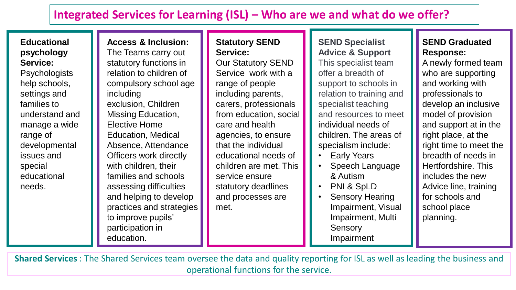### **Integrated Services for Learning (ISL) – Who are we and what do we offer?**

#### **Educational psychology Service:**

**Psychologists** help schools, settings and families to understand and manage a wide range of developmental issues and special educational needs.

#### **Access & Inclusion:**

The Teams carry out statutory functions in relation to children of compulsory school age including exclusion, Children Missing Education, Elective Home Education, Medical Absence, Attendance Officers work directly with children, their families and schools assessing difficulties and helping to develop practices and strategies to improve pupils' participation in education.

#### **Statutory SEND Service:**

Our Statutory SEND Service work with a range of people including parents, carers, professionals from education, social care and health agencies, to ensure that the individual educational needs of children are met. This service ensure statutory deadlines and processes are met.

**SEND Specialist Advice & Support** This specialist team offer a breadth of support to schools in relation to training and specialist teaching and resources to meet individual needs of children. The areas of specialism include:

- Early Years
- Speech Language & Autism
- PNI & SpLD
- Sensory Hearing Impairment, Visual Impairment, Multi **Sensory** Impairment

#### **SEND Graduated Response:**

A newly formed team who are supporting and working with professionals to develop an inclusive model of provision and support at in the right place, at the right time to meet the breadth of needs in Hertfordshire. This includes the new Advice line, training for schools and school place planning.

**Shared Services** : The Shared Services team oversee the data and quality reporting for ISL as well as leading the business and operational functions for the service.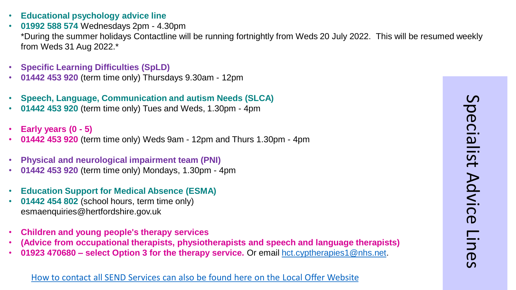- **Educational psychology advice line**
- **01992 588 574** Wednesdays 2pm 4.30pm \*During the summer holidays Contactline will be running fortnightly from Weds 20 July 2022. This will be resumed weekly from Weds 31 Aug 2022.\*
- **Specific Learning Difficulties (SpLD)**
- **01442 453 920** (term time only) Thursdays 9.30am 12pm
- **Speech, Language, Communication and autism Needs (SLCA)**
- **01442 453 920** (term time only) Tues and Weds, 1.30pm 4pm
- **Early years (0 - 5)**
- **01442 453 920** (term time only) Weds 9am 12pm and Thurs 1.30pm 4pm
- **Physical and neurological impairment team (PNI)**
- **01442 453 920** (term time only) Mondays, 1.30pm 4pm
- **Education Support for Medical Absence (ESMA)**
- **01442 454 802** (school hours, term time only) esmaenquiries@hertfordshire.gov.uk
- **Children and young people's therapy services**
- **(Advice from occupational therapists, physiotherapists and speech and language therapists)**
- **01923 470680 – select Option 3 for the therapy service.** Or email [hct.cyptherapies1@nhs.net.](mailto:hct.cyptherapies1@nhs.net)

#### [How to contact all SEND Services can also be found here on the Local Offer Website](https://www.hertfordshire.gov.uk/microsites/local-offer/contact-a-send-service.aspx)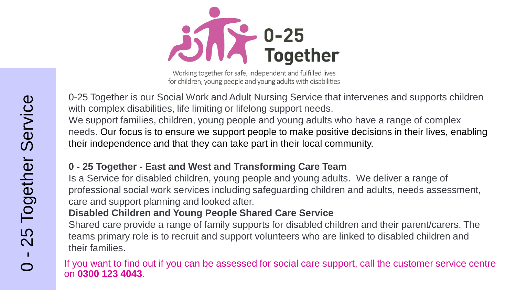$25\sqrt{2}$  0-25<br>Together

Working together for safe, independent and fulfilled lives for children, young people and young adults with disabilities

0-25 Together is our Social Work and Adult Nursing Service that intervenes and supports children with complex disabilities, life limiting or lifelong support needs.

We support families, children, young people and young adults who have a range of complex needs. Our focus is to ensure we support people to make positive decisions in their lives, enabling their independence and that they can take part in their local community.

#### **0 - 25 Together - East and West and Transforming Care Team**

Is a Service for disabled children, young people and young adults. We deliver a range of professional social work services including safeguarding children and adults, needs assessment, care and support planning and looked after.

#### **Disabled Children and Young People Shared Care Service**

Shared care provide a range of family supports for disabled children and their parent/carers. The teams primary role is to recruit and support volunteers who are linked to disabled children and their families.

If you want to find out if you can be assessed for social care support, call the customer service centre on **0300 123 4043**.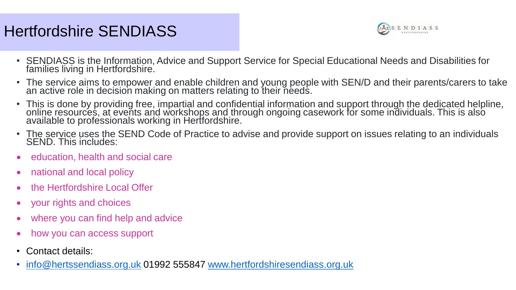## Hertfordshire SENDIASS



- SENDIASS is the Information, Advice and Support Service for Special Educational Needs and Disabilities for families living in Hertfordshire.
- The service aims to empower and enable children and young people with SEN/D and their parents/carers to take an active role in decision making on matters relating to their needs.
- This is done by providing free, impartial and confidential information and support through the dedicated helpline, online resources, at events and workshops and through ongoing casework for some individuals. This is also available to professionals working in Hertfordshire.
- The service uses the SEND Code of Practice to advise and provide support on issues relating to an individuals SEND. This includes:
- education, health and social care
- national and local policy
- the Hertfordshire Local Offer
- your rights and choices
- where you can find help and advice
- how you can access support
- Contact details:
- [info@hertssendiass.org.uk](mailto:info@hertssendiass.org.uk) 01992 555847 [www.hertfordshiresendiass.org.uk](http://www.hertfordshiresendiass.org.uk/)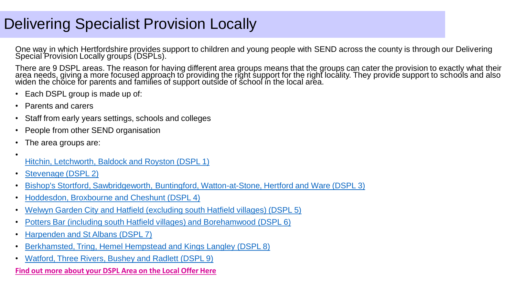### Delivering Specialist Provision Locally

One way in which Hertfordshire provides support to children and young people with SEND across the county is through our Delivering Special Provision Locally groups (DSPLs).

There are 9 DSPL areas. The reason for having different area groups means that the groups can cater the provision to exactly what their area needs, giving a more focused approach to providing the right support for the right locality. They provide support to schools and also widen the choice for parents and families of support outside of school in the local area.

- Each DSPL group is made up of:
- Parents and carers
- Staff from early years settings, schools and colleges
- People from other SEND organisation
- The area groups are:

•

- [Hitchin, Letchworth, Baldock and Royston \(DSPL 1\)](https://nhdspl.org.uk/)
- [Stevenage \(DSPL 2\)](http://stevenagedspl.org.uk/)
- [Bishop's Stortford, Sawbridgeworth, Buntingford, Watton-at-Stone, Hertford and Ware \(DSPL 3\)](http://dspl3.co.uk/)
- [Hoddesdon, Broxbourne and Cheshunt \(DSPL 4\)](https://www.dspl4.co.uk/)
- [Welwyn Garden City and Hatfield \(excluding south Hatfield villages\) \(DSPL 5\)](https://www.dspl5.co.uk/)
- [Potters Bar \(including south Hatfield villages\) and Borehamwood \(DSPL 6\)](https://www.dsplarea6.org.uk/)
- [Harpenden and St Albans \(DSPL 7\)](http://dspl7.org.uk/)
- [Berkhamsted, Tring, Hemel Hempstead and Kings Langley \(DSPL 8\)](http://www.dacorumdspl.org.uk/)
- [Watford, Three Rivers, Bushey and Radlett \(DSPL 9\)](http://dsplarea9.org.uk/)

#### **[Find out more about your DSPL Area on the Local Offer Here](Find%20out%20more%20about%20your%20local%20DSPL%20Here)**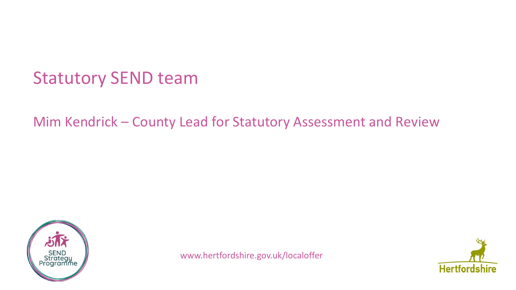## Statutory SEND team

### Mim Kendrick – County Lead for Statutory Assessment and Review



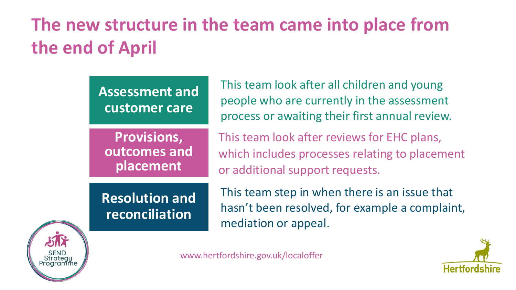# **The new structure in the team came into place from the end of April**

**Assessment and customer care**

**Provisions, outcomes and placement**

This team look after all children and young people who are currently in the assessment process or awaiting their first annual review.

This team look after reviews for EHC plans, which includes processes relating to placement or additional support requests.

**Resolution and reconciliation**

This team step in when there is an issue that hasn't been resolved, for example a complaint, mediation or appeal.



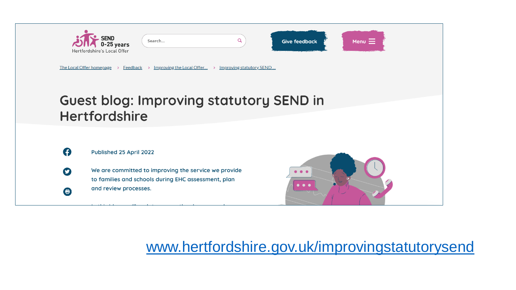

### [www.hertfordshire.gov.uk/improvingstatutorysend](http://www.hertfordshire.gov.uk/improvingstatutorysend)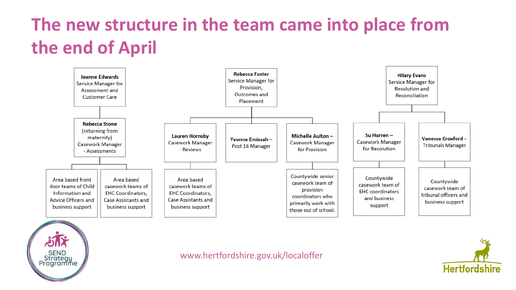# **The new structure in the team came into place from the end of April**





www.hertfordshire.gov.uk/localoffer

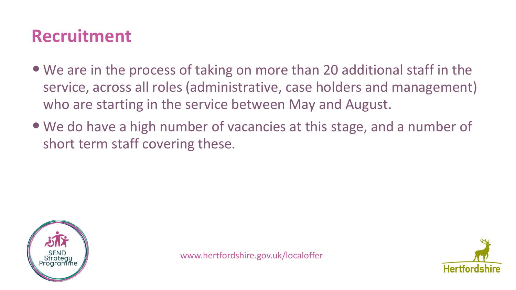## **Recruitment**

- We are in the process of taking on more than 20 additional staff in the service, across all roles (administrative, case holders and management) who are starting in the service between May and August.
- We do have a high number of vacancies at this stage, and a number of short term staff covering these.



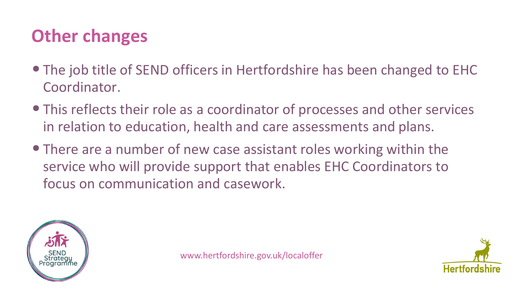# **Other changes**

- •The job title of SEND officers in Hertfordshire has been changed to EHC Coordinator.
- •This reflects their role as a coordinator of processes and other services in relation to education, health and care assessments and plans.
- There are a number of new case assistant roles working within the service who will provide support that enables EHC Coordinators to focus on communication and casework.



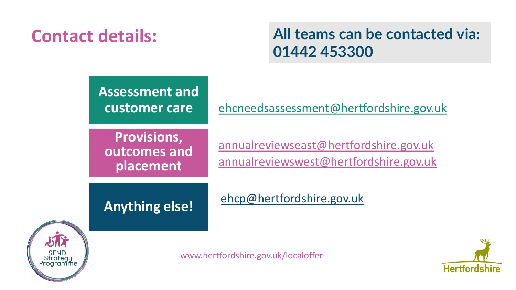# **Contact details:**

**All teams can be contacted via: 01442 453300**



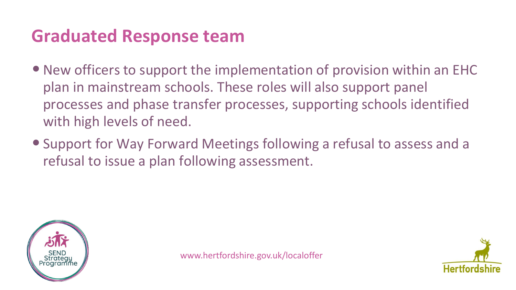## **Graduated Response team**

- New officers to support the implementation of provision within an EHC plan in mainstream schools. These roles will also support panel processes and phase transfer processes, supporting schools identified with high levels of need.
- •Support for Way Forward Meetings following a refusal to assess and a refusal to issue a plan following assessment.



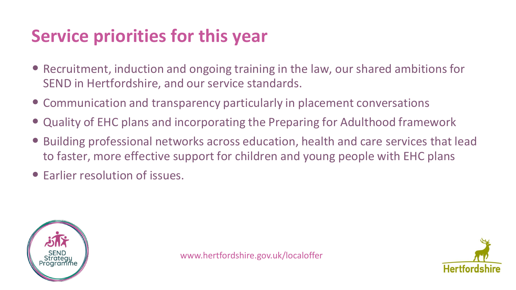# **Service priorities for this year**

- Recruitment, induction and ongoing training in the law, our shared ambitions for SEND in Hertfordshire, and our service standards.
- Communication and transparency particularly in placement conversations
- Quality of EHC plans and incorporating the Preparing for Adulthood framework
- Building professional networks across education, health and care services that lead to faster, more effective support for children and young people with EHC plans
- Earlier resolution of issues.